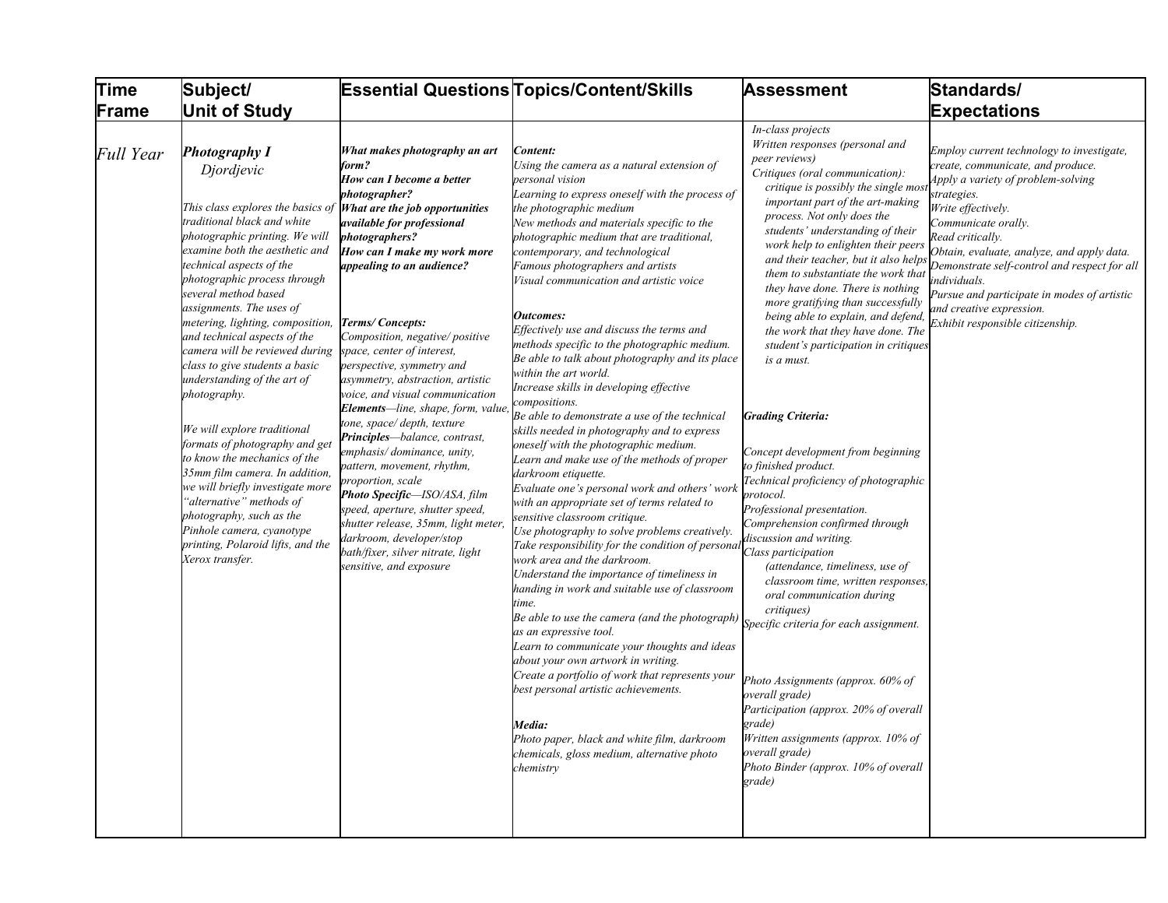| <b>Time</b>      | Subject/                                                                                                                                                                                                                                                                                                                                                                                                                                                                                                                                                                                                                                                                                                                                                                                              |                                                                                                                                                                                                                                                                                                                                                                                                                                                                                                                                                                                                                                                                                                                                                                                                                                    | <b>Essential Questions Topics/Content/Skills</b>                                                                                                                                                                                                                                                                                                                                                                                                                                                                                                                                                                                                                                                                                                                                                                                                                                                                                                                                                                                                                                                                                                                                                                                                                                                                                                                                                                                                                                                                                                                                                                               | Assessment                                                                                                                                                                                                                                                                                                                                                                                                                                                                                                                                                                                                                                                                                                                                                                                                                                                                                                                                                                                                                                                                                                                                                                                                          | Standards/                                                                                                                                                                                                                                                                                                                                                                                                                       |
|------------------|-------------------------------------------------------------------------------------------------------------------------------------------------------------------------------------------------------------------------------------------------------------------------------------------------------------------------------------------------------------------------------------------------------------------------------------------------------------------------------------------------------------------------------------------------------------------------------------------------------------------------------------------------------------------------------------------------------------------------------------------------------------------------------------------------------|------------------------------------------------------------------------------------------------------------------------------------------------------------------------------------------------------------------------------------------------------------------------------------------------------------------------------------------------------------------------------------------------------------------------------------------------------------------------------------------------------------------------------------------------------------------------------------------------------------------------------------------------------------------------------------------------------------------------------------------------------------------------------------------------------------------------------------|--------------------------------------------------------------------------------------------------------------------------------------------------------------------------------------------------------------------------------------------------------------------------------------------------------------------------------------------------------------------------------------------------------------------------------------------------------------------------------------------------------------------------------------------------------------------------------------------------------------------------------------------------------------------------------------------------------------------------------------------------------------------------------------------------------------------------------------------------------------------------------------------------------------------------------------------------------------------------------------------------------------------------------------------------------------------------------------------------------------------------------------------------------------------------------------------------------------------------------------------------------------------------------------------------------------------------------------------------------------------------------------------------------------------------------------------------------------------------------------------------------------------------------------------------------------------------------------------------------------------------------|---------------------------------------------------------------------------------------------------------------------------------------------------------------------------------------------------------------------------------------------------------------------------------------------------------------------------------------------------------------------------------------------------------------------------------------------------------------------------------------------------------------------------------------------------------------------------------------------------------------------------------------------------------------------------------------------------------------------------------------------------------------------------------------------------------------------------------------------------------------------------------------------------------------------------------------------------------------------------------------------------------------------------------------------------------------------------------------------------------------------------------------------------------------------------------------------------------------------|----------------------------------------------------------------------------------------------------------------------------------------------------------------------------------------------------------------------------------------------------------------------------------------------------------------------------------------------------------------------------------------------------------------------------------|
| Frame            | <b>Unit of Study</b>                                                                                                                                                                                                                                                                                                                                                                                                                                                                                                                                                                                                                                                                                                                                                                                  |                                                                                                                                                                                                                                                                                                                                                                                                                                                                                                                                                                                                                                                                                                                                                                                                                                    |                                                                                                                                                                                                                                                                                                                                                                                                                                                                                                                                                                                                                                                                                                                                                                                                                                                                                                                                                                                                                                                                                                                                                                                                                                                                                                                                                                                                                                                                                                                                                                                                                                |                                                                                                                                                                                                                                                                                                                                                                                                                                                                                                                                                                                                                                                                                                                                                                                                                                                                                                                                                                                                                                                                                                                                                                                                                     | <b>Expectations</b>                                                                                                                                                                                                                                                                                                                                                                                                              |
| <b>Full Year</b> | <b>Photography I</b><br>Djordjevic<br>This class explores the basics of<br>traditional black and white<br>photographic printing. We will<br>examine both the aesthetic and<br>technical aspects of the<br>photographic process through<br>several method based<br>assignments. The uses of<br>metering, lighting, composition,<br>and technical aspects of the<br>camera will be reviewed during<br>class to give students a basic<br>understanding of the art of<br>photography.<br>We will explore traditional<br>formats of photography and get<br>to know the mechanics of the<br>35mm film camera. In addition,<br>we will briefly investigate more<br>"alternative" methods of<br>photography, such as the<br>Pinhole camera, cyanotype<br>printing, Polaroid lifts, and the<br>Xerox transfer. | What makes photography an art<br>form?<br>How can I become a better<br>photographer?<br>What are the job opportunities<br><i>available for professional</i><br><i>photographers?</i><br>How can I make my work more<br>appealing to an audience?<br>Terms/Concepts:<br>Composition, negative/positive<br>space, center of interest,<br>perspective, symmetry and<br>asymmetry, abstraction, artistic<br>voice, and visual communication<br>Elements-line, shape, form, value<br>tone, space/depth, texture<br>Principles-balance, contrast,<br>emphasis/dominance, unity,<br>pattern, movement, rhythm,<br>proportion, scale<br>Photo Specific-ISO/ASA, film<br>speed, aperture, shutter speed,<br>shutter release, 35mm, light meter,<br>darkroom, developer/stop<br>bath/fixer, silver nitrate, light<br>sensitive, and exposure | Content:<br>Using the camera as a natural extension of<br>personal vision<br>Learning to express oneself with the process of<br>the photographic medium<br>New methods and materials specific to the<br>photographic medium that are traditional,<br>contemporary, and technological<br>Famous photographers and artists<br>Visual communication and artistic voice<br><b>Outcomes:</b><br>Effectively use and discuss the terms and<br>methods specific to the photographic medium.<br>Be able to talk about photography and its place<br>within the art world.<br>Increase skills in developing effective<br>compositions.<br>Be able to demonstrate a use of the technical<br>skills needed in photography and to express<br>oneself with the photographic medium.<br>Learn and make use of the methods of proper<br>darkroom etiquette.<br>Evaluate one's personal work and others' work<br>with an appropriate set of terms related to<br>sensitive classroom critique.<br>Use photography to solve problems creatively.<br>Take responsibility for the condition of personal Class participation<br>work area and the darkroom.<br>Understand the importance of timeliness in<br>handing in work and suitable use of classroom<br>time.<br>Be able to use the camera (and the photograph)<br>as an expressive tool.<br>Learn to communicate your thoughts and ideas<br>about your own artwork in writing.<br>Create a portfolio of work that represents your<br>best personal artistic achievements.<br>Media:<br>Photo paper, black and white film, darkroom<br>chemicals, gloss medium, alternative photo<br>chemistry | In-class projects<br>Written responses (personal and<br>peer reviews)<br>Critiques (oral communication):<br>critique is possibly the single most<br>important part of the art-making<br>process. Not only does the<br>students' understanding of their<br>work help to enlighten their peers<br>and their teacher, but it also helps<br>them to substantiate the work that<br>they have done. There is nothing<br>more gratifying than successfully<br>being able to explain, and defend,<br>the work that they have done. The<br>student's participation in critiques<br>is a must.<br><b>Grading Criteria:</b><br>Concept development from beginning<br>to finished product.<br>Technical proficiency of photographic<br>protocol.<br>Professional presentation.<br>Comprehension confirmed through<br>discussion and writing.<br>(attendance, timeliness, use of<br>classroom time, written responses,<br>oral communication during<br>critiques)<br>Specific criteria for each assignment.<br>Photo Assignments (approx. 60% of<br>overall grade)<br>Participation (approx. 20% of overall<br>grade)<br>Written assignments (approx. 10% of<br>overall grade)<br>Photo Binder (approx. 10% of overall<br>grade) | Employ current technology to investigate,<br>create, communicate, and produce.<br>Apply a variety of problem-solving<br>strategies.<br>Write effectively.<br>Communicate orally.<br>Read critically.<br>Obtain, evaluate, analyze, and apply data.<br>Demonstrate self-control and respect for all<br>ndividuals.<br>Pursue and participate in modes of artistic<br>and creative expression.<br>Exhibit responsible citizenship. |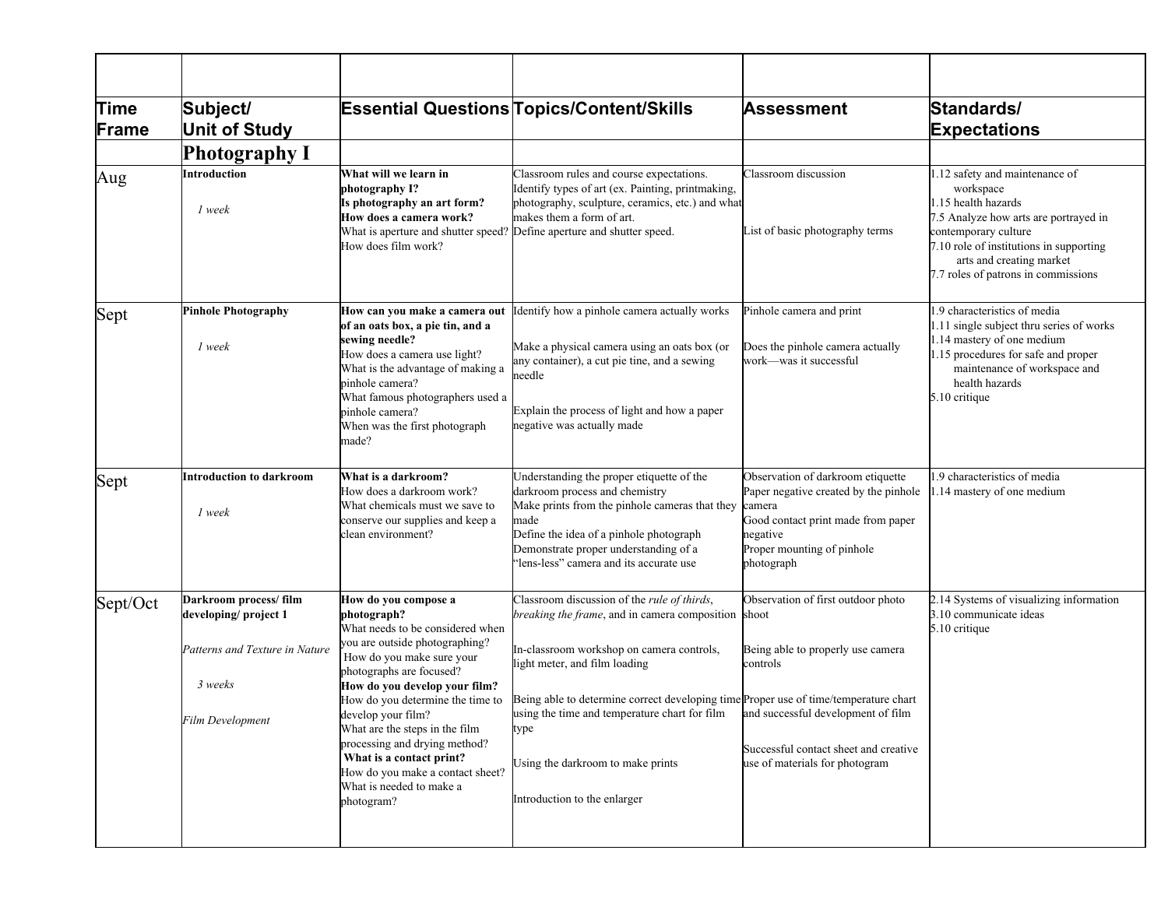| <b>Time</b><br>Frame | Subject/<br><b>Unit of Study</b>              |                                                                                                                                                                                                                                                                              | <b>Essential Questions Topics/Content/Skills</b>                                                                                                                                                                                                                     | <b>Assessment</b>                                                                                                                                                                  | Standards/<br><b>Expectations</b>                                                                                                                                                                                                                 |
|----------------------|-----------------------------------------------|------------------------------------------------------------------------------------------------------------------------------------------------------------------------------------------------------------------------------------------------------------------------------|----------------------------------------------------------------------------------------------------------------------------------------------------------------------------------------------------------------------------------------------------------------------|------------------------------------------------------------------------------------------------------------------------------------------------------------------------------------|---------------------------------------------------------------------------------------------------------------------------------------------------------------------------------------------------------------------------------------------------|
|                      | <b>Photography I</b>                          |                                                                                                                                                                                                                                                                              |                                                                                                                                                                                                                                                                      |                                                                                                                                                                                    |                                                                                                                                                                                                                                                   |
| Aug                  | Introduction<br>1 week                        | What will we learn in<br>photography I?<br>Is photography an art form?<br>How does a camera work?<br>What is aperture and shutter speed? Define aperture and shutter speed.<br>How does film work?                                                                           | Classroom rules and course expectations.<br>Identify types of art (ex. Painting, printmaking,<br>photography, sculpture, ceramics, etc.) and what<br>makes them a form of art.                                                                                       | Classroom discussion<br>List of basic photography terms                                                                                                                            | 1.12 safety and maintenance of<br>workspace<br>1.15 health hazards<br>7.5 Analyze how arts are portrayed in<br>contemporary culture<br>7.10 role of institutions in supporting<br>arts and creating market<br>7.7 roles of patrons in commissions |
| Sept                 | <b>Pinhole Photography</b><br>1 week          | How can you make a camera out<br>of an oats box, a pie tin, and a<br>sewing needle?<br>How does a camera use light?<br>What is the advantage of making a<br>pinhole camera?<br>What famous photographers used a<br>pinhole camera?<br>When was the first photograph<br>made? | Identify how a pinhole camera actually works<br>Make a physical camera using an oats box (or<br>any container), a cut pie tine, and a sewing<br>needle<br>Explain the process of light and how a paper<br>negative was actually made                                 | Pinhole camera and print<br>Does the pinhole camera actually<br>work-was it successful                                                                                             | 1.9 characteristics of media<br>1.11 single subject thru series of works<br>1.14 mastery of one medium<br>1.15 procedures for safe and proper<br>maintenance of workspace and<br>health hazards<br>5.10 critique                                  |
| Sept                 | Introduction to darkroom<br>1 week            | What is a darkroom?<br>How does a darkroom work?<br>What chemicals must we save to<br>conserve our supplies and keep a<br>clean environment?                                                                                                                                 | Understanding the proper etiquette of the<br>darkroom process and chemistry<br>Make prints from the pinhole cameras that they<br>made<br>Define the idea of a pinhole photograph<br>Demonstrate proper understanding of a<br>"lens-less" camera and its accurate use | Observation of darkroom etiquette<br>Paper negative created by the pinhole<br>camera<br>Good contact print made from paper<br>negative<br>Proper mounting of pinhole<br>photograph | 1.9 characteristics of media<br>1.14 mastery of one medium                                                                                                                                                                                        |
| Sept/Oct             | Darkroom process/film<br>developing/project 1 | How do you compose a<br>photograph?<br>What needs to be considered when                                                                                                                                                                                                      | Classroom discussion of the rule of thirds,<br>breaking the frame, and in camera composition                                                                                                                                                                         | Observation of first outdoor photo<br>shoot                                                                                                                                        | 2.14 Systems of visualizing information<br>3.10 communicate ideas<br>5.10 critique                                                                                                                                                                |
|                      | Patterns and Texture in Nature                | you are outside photographing?<br>How do you make sure your<br>photographs are focused?                                                                                                                                                                                      | In-classroom workshop on camera controls,<br>light meter, and film loading                                                                                                                                                                                           | Being able to properly use camera<br>controls                                                                                                                                      |                                                                                                                                                                                                                                                   |
|                      | 3 weeks                                       | How do you develop your film?<br>How do you determine the time to                                                                                                                                                                                                            | Being able to determine correct developing time Proper use of time/temperature chart                                                                                                                                                                                 |                                                                                                                                                                                    |                                                                                                                                                                                                                                                   |
|                      | <b>Film Development</b>                       | develop your film?<br>What are the steps in the film<br>processing and drying method?<br>What is a contact print?<br>How do you make a contact sheet?<br>What is needed to make a<br>photogram?                                                                              | using the time and temperature chart for film and successful development of film<br>type<br>Using the darkroom to make prints<br>Introduction to the enlarger                                                                                                        | Successful contact sheet and creative<br>use of materials for photogram                                                                                                            |                                                                                                                                                                                                                                                   |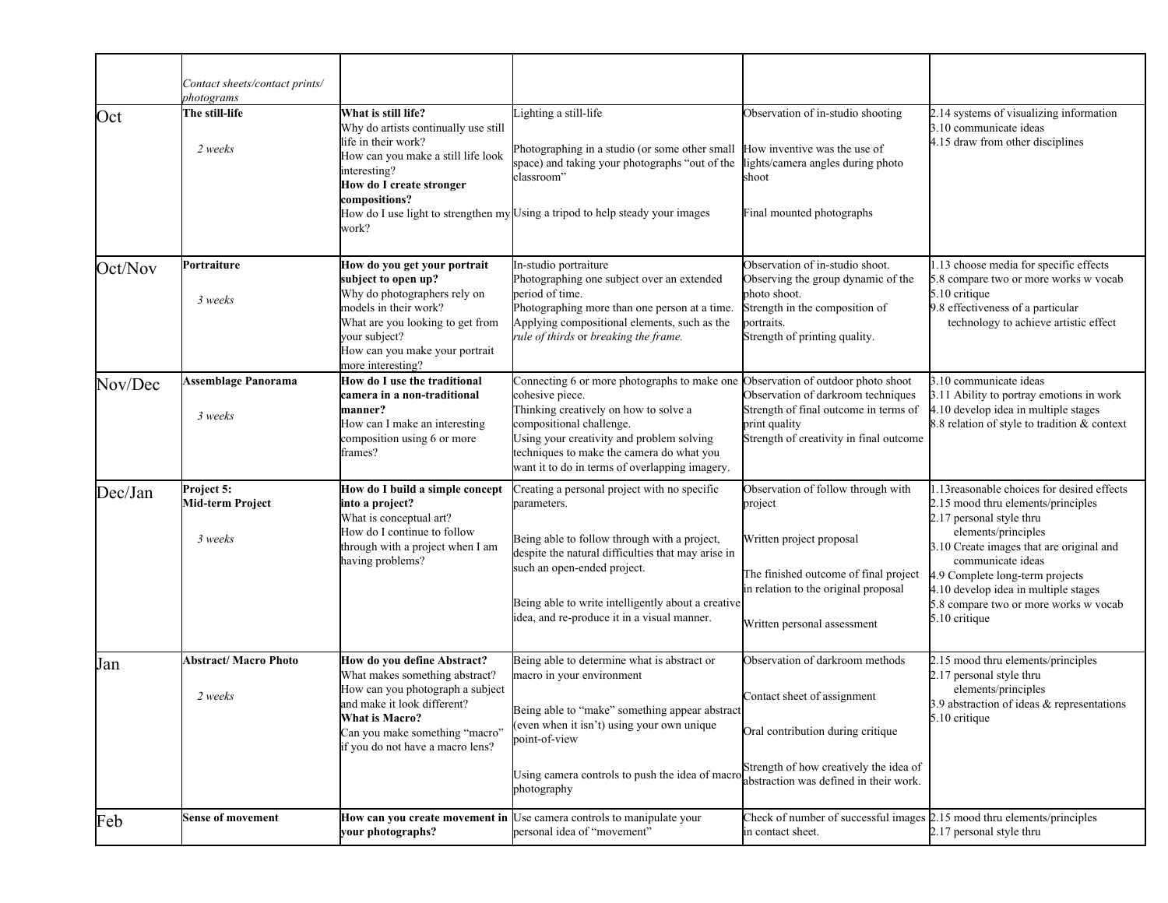|         | Contact sheets/contact prints/<br>photograms     |                                                                                                                                                                                                                                 |                                                                                                                                                                                                                                                                                                                     |                                                                                                                                                                                           |                                                                                                                                                                                                                                                                                                                                            |
|---------|--------------------------------------------------|---------------------------------------------------------------------------------------------------------------------------------------------------------------------------------------------------------------------------------|---------------------------------------------------------------------------------------------------------------------------------------------------------------------------------------------------------------------------------------------------------------------------------------------------------------------|-------------------------------------------------------------------------------------------------------------------------------------------------------------------------------------------|--------------------------------------------------------------------------------------------------------------------------------------------------------------------------------------------------------------------------------------------------------------------------------------------------------------------------------------------|
| Oct     | The still-life<br>2 weeks                        | What is still life?<br>Why do artists continually use still<br>life in their work?<br>How can you make a still life look<br>interesting?<br>How do I create stronger<br>compositions?<br>work?                                  | Lighting a still-life<br>Photographing in a studio (or some other small How inventive was the use of<br>space) and taking your photographs "out of the<br>classroom"<br>How do I use light to strengthen my Using a tripod to help steady your images                                                               | Observation of in-studio shooting<br>lights/camera angles during photo<br>shoot<br>Final mounted photographs                                                                              | 2.14 systems of visualizing information<br>3.10 communicate ideas<br>4.15 draw from other disciplines                                                                                                                                                                                                                                      |
| Oct/Nov | Portraiture<br>3 weeks                           | How do you get your portrait<br>subject to open up?<br>Why do photographers rely on<br>models in their work?<br>What are you looking to get from<br>your subject?<br>How can you make your portrait<br>more interesting?        | In-studio portraiture<br>Photographing one subject over an extended<br>period of time.<br>Photographing more than one person at a time.<br>Applying compositional elements, such as the<br>rule of thirds or breaking the frame.                                                                                    | Observation of in-studio shoot.<br>Observing the group dynamic of the<br>photo shoot.<br>Strength in the composition of<br>portraits.<br>Strength of printing quality.                    | 1.13 choose media for specific effects<br>5.8 compare two or more works w vocab<br>5.10 critique<br>9.8 effectiveness of a particular<br>technology to achieve artistic effect                                                                                                                                                             |
| Nov/Dec | <b>Assemblage Panorama</b><br>3 weeks            | How do I use the traditional<br>camera in a non-traditional<br>manner?<br>How can I make an interesting<br>composition using 6 or more<br>frames?                                                                               | Connecting 6 or more photographs to make one Observation of outdoor photo shoot<br>cohesive piece.<br>Thinking creatively on how to solve a<br>compositional challenge.<br>Using your creativity and problem solving<br>techniques to make the camera do what you<br>want it to do in terms of overlapping imagery. | Observation of darkroom techniques<br>Strength of final outcome in terms of<br>print quality<br>Strength of creativity in final outcome                                                   | 3.10 communicate ideas<br>3.11 Ability to portray emotions in work<br>4.10 develop idea in multiple stages<br>8.8 relation of style to tradition & context                                                                                                                                                                                 |
| Dec/Jan | Project 5:<br><b>Mid-term Project</b><br>3 weeks | How do I build a simple concept<br>into a project?<br>What is conceptual art?<br>How do I continue to follow<br>through with a project when I am<br>having problems?                                                            | Creating a personal project with no specific<br>parameters.<br>Being able to follow through with a project,<br>despite the natural difficulties that may arise in<br>such an open-ended project.<br>Being able to write intelligently about a creative<br>idea, and re-produce it in a visual manner.               | Observation of follow through with<br>project<br>Written project proposal<br>The finished outcome of final project<br>in relation to the original proposal<br>Written personal assessment | 1.13 reasonable choices for desired effects<br>2.15 mood thru elements/principles<br>2.17 personal style thru<br>elements/principles<br>3.10 Create images that are original and<br>communicate ideas<br>4.9 Complete long-term projects<br>4.10 develop idea in multiple stages<br>5.8 compare two or more works w vocab<br>5.10 critique |
| Jan     | <b>Abstract/ Macro Photo</b><br>2 weeks          | How do you define Abstract?<br>What makes something abstract?<br>How can you photograph a subject<br>and make it look different?<br><b>What is Macro?</b><br>Can you make something "macro"<br>if you do not have a macro lens? | Being able to determine what is abstract or<br>macro in your environment<br>Being able to "make" something appear abstract<br>(even when it isn't) using your own unique<br>point-of-view<br>Using camera controls to push the idea of macro<br>photography                                                         | Observation of darkroom methods<br>Contact sheet of assignment<br>Oral contribution during critique<br>Strength of how creatively the idea of<br>abstraction was defined in their work.   | 2.15 mood thru elements/principles<br>2.17 personal style thru<br>elements/principles<br>3.9 abstraction of ideas & representations<br>5.10 critique                                                                                                                                                                                       |
| Feb     | <b>Sense of movement</b>                         | your photographs?                                                                                                                                                                                                               | How can you create movement in Use camera controls to manipulate your<br>personal idea of "movement"                                                                                                                                                                                                                | Check of number of successful images 2.15 mood thru elements/principles<br>in contact sheet.                                                                                              | 2.17 personal style thru                                                                                                                                                                                                                                                                                                                   |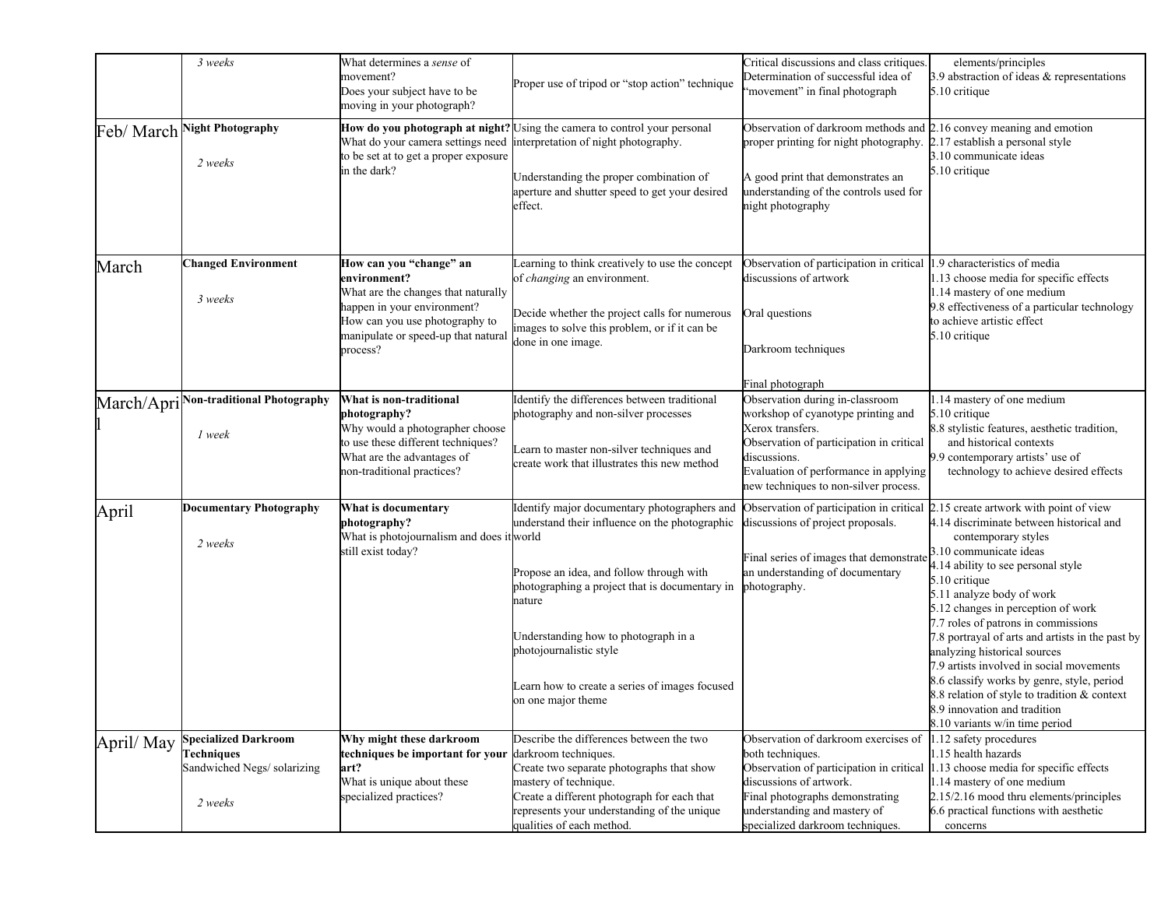|            | 3 weeks                                                                                   | What determines a <i>sense</i> of<br>movement?<br>Does your subject have to be<br>moving in your photograph?                                                                                       | Proper use of tripod or "stop action" technique                                                                                                                                                                                                                                                                                                   | Critical discussions and class critiques.<br>Determination of successful idea of<br>'movement" in final photograph                                                                                                                      | elements/principles<br>3.9 abstraction of ideas & representations<br>5.10 critique                                                                                                                                                                                                                                                                                                                                                                                                                                                                                                                   |
|------------|-------------------------------------------------------------------------------------------|----------------------------------------------------------------------------------------------------------------------------------------------------------------------------------------------------|---------------------------------------------------------------------------------------------------------------------------------------------------------------------------------------------------------------------------------------------------------------------------------------------------------------------------------------------------|-----------------------------------------------------------------------------------------------------------------------------------------------------------------------------------------------------------------------------------------|------------------------------------------------------------------------------------------------------------------------------------------------------------------------------------------------------------------------------------------------------------------------------------------------------------------------------------------------------------------------------------------------------------------------------------------------------------------------------------------------------------------------------------------------------------------------------------------------------|
| Feb/March  | <b>Night Photography</b><br>2 weeks                                                       | to be set at to get a proper exposure<br>in the dark?                                                                                                                                              | How do you photograph at night? Using the camera to control your personal<br>What do your camera settings need interpretation of night photography.<br>Understanding the proper combination of<br>aperture and shutter speed to get your desired<br>effect.                                                                                       | Observation of darkroom methods and<br>proper printing for night photography.<br>A good print that demonstrates an<br>understanding of the controls used for<br>night photography                                                       | 2.16 convey meaning and emotion<br>2.17 establish a personal style<br>3.10 communicate ideas<br>5.10 critique                                                                                                                                                                                                                                                                                                                                                                                                                                                                                        |
| March      | <b>Changed Environment</b><br>3 weeks                                                     | How can you "change" an<br>environment?<br>What are the changes that naturally<br>happen in your environment?<br>How can you use photography to<br>manipulate or speed-up that natural<br>process? | Learning to think creatively to use the concept<br>of <i>changing</i> an environment.<br>Decide whether the project calls for numerous<br>images to solve this problem, or if it can be<br>done in one image.                                                                                                                                     | Observation of participation in critical 1.9 characteristics of media<br>discussions of artwork<br>Oral questions<br>Darkroom techniques<br>Final photograph                                                                            | 1.13 choose media for specific effects<br>1.14 mastery of one medium<br>9.8 effectiveness of a particular technology<br>to achieve artistic effect<br>5.10 critique                                                                                                                                                                                                                                                                                                                                                                                                                                  |
| March/Apri | <b>Non-traditional Photography</b><br>1 week                                              | What is non-traditional<br>photography?<br>Why would a photographer choose<br>to use these different techniques?<br>What are the advantages of<br>non-traditional practices?                       | Identify the differences between traditional<br>photography and non-silver processes<br>Learn to master non-silver techniques and<br>create work that illustrates this new method                                                                                                                                                                 | Observation during in-classroom<br>workshop of cyanotype printing and<br>Xerox transfers.<br>Observation of participation in critical<br>discussions.<br>Evaluation of performance in applying<br>new techniques to non-silver process. | 1.14 mastery of one medium<br>5.10 critique<br>8.8 stylistic features, aesthetic tradition,<br>and historical contexts<br>9.9 contemporary artists' use of<br>technology to achieve desired effects                                                                                                                                                                                                                                                                                                                                                                                                  |
| April      | <b>Documentary Photography</b><br>2 weeks                                                 | What is documentary<br>photography?<br>What is photojournalism and does it world<br>still exist today?                                                                                             | Identify major documentary photographers and<br>understand their influence on the photographic<br>Propose an idea, and follow through with<br>photographing a project that is documentary in<br>nature<br>Understanding how to photograph in a<br>photojournalistic style<br>Learn how to create a series of images focused<br>on one major theme | Observation of participation in critical<br>discussions of project proposals.<br>Final series of images that demonstrate<br>an understanding of documentary<br>photography.                                                             | 2.15 create artwork with point of view<br>4.14 discriminate between historical and<br>contemporary styles<br>3.10 communicate ideas<br>4.14 ability to see personal style<br>5.10 critique<br>5.11 analyze body of work<br>5.12 changes in perception of work<br>7.7 roles of patrons in commissions<br>7.8 portrayal of arts and artists in the past by<br>analyzing historical sources<br>7.9 artists involved in social movements<br>8.6 classify works by genre, style, period<br>8.8 relation of style to tradition & context<br>8.9 innovation and tradition<br>8.10 variants w/in time period |
| April/May  | <b>Specialized Darkroom</b><br><b>Techniques</b><br>Sandwiched Negs/solarizing<br>2 weeks | Why might these darkroom<br>techniques be important for your darkroom techniques.<br>art?<br>What is unique about these<br>specialized practices?                                                  | Describe the differences between the two<br>Create two separate photographs that show<br>mastery of technique.<br>Create a different photograph for each that<br>represents your understanding of the unique<br>qualities of each method.                                                                                                         | Observation of darkroom exercises of<br>both techniques.<br>discussions of artwork.<br>Final photographs demonstrating<br>understanding and mastery of<br>specialized darkroom techniques.                                              | 1.12 safety procedures<br>1.15 health hazards<br>Observation of participation in critical 1.13 choose media for specific effects<br>1.14 mastery of one medium<br>2.15/2.16 mood thru elements/principles<br>6.6 practical functions with aesthetic<br>concerns                                                                                                                                                                                                                                                                                                                                      |